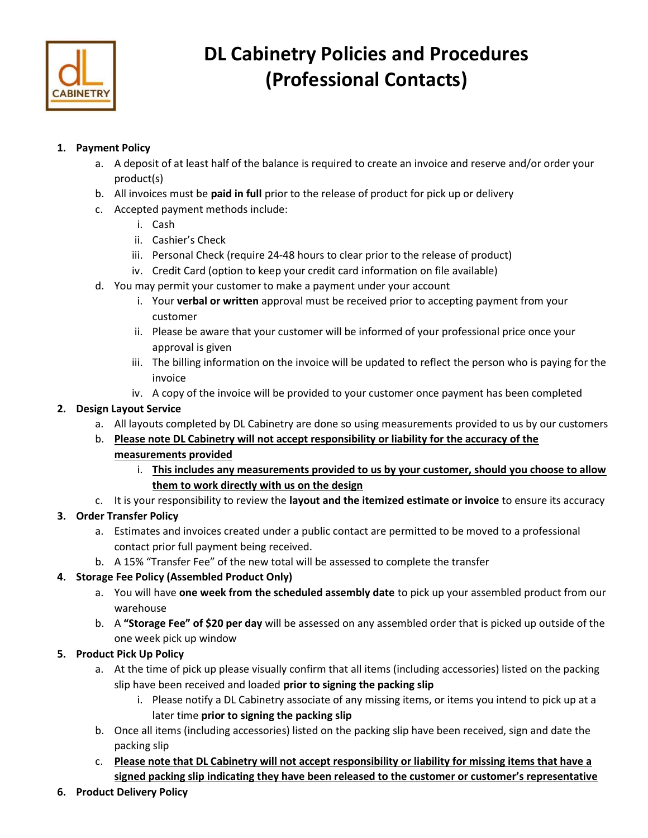

# DL Cabinetry Policies and Procedures (Professional Contacts)

# 1. Payment Policy

- a. A deposit of at least half of the balance is required to create an invoice and reserve and/or order your product(s)
- b. All invoices must be paid in full prior to the release of product for pick up or delivery
- c. Accepted payment methods include:
	- i. Cash
	- ii. Cashier's Check
	- iii. Personal Check (require 24-48 hours to clear prior to the release of product)
	- iv. Credit Card (option to keep your credit card information on file available)
- d. You may permit your customer to make a payment under your account
	- i. Your verbal or written approval must be received prior to accepting payment from your customer
	- ii. Please be aware that your customer will be informed of your professional price once your approval is given
	- iii. The billing information on the invoice will be updated to reflect the person who is paying for the invoice
	- iv. A copy of the invoice will be provided to your customer once payment has been completed

## 2. Design Layout Service

- a. All layouts completed by DL Cabinetry are done so using measurements provided to us by our customers
- b. Please note DL Cabinetry will not accept responsibility or liability for the accuracy of the measurements provided
	- i. This includes any measurements provided to us by your customer, should you choose to allow them to work directly with us on the design
- c. It is your responsibility to review the layout and the itemized estimate or invoice to ensure its accuracy

# 3. Order Transfer Policy

- a. Estimates and invoices created under a public contact are permitted to be moved to a professional contact prior full payment being received.
- b. A 15% "Transfer Fee" of the new total will be assessed to complete the transfer

## 4. Storage Fee Policy (Assembled Product Only)

- a. You will have one week from the scheduled assembly date to pick up your assembled product from our warehouse
- b. A "Storage Fee" of \$20 per day will be assessed on any assembled order that is picked up outside of the one week pick up window

# 5. Product Pick Up Policy

- a. At the time of pick up please visually confirm that all items (including accessories) listed on the packing slip have been received and loaded prior to signing the packing slip
	- i. Please notify a DL Cabinetry associate of any missing items, or items you intend to pick up at a later time prior to signing the packing slip
- b. Once all items (including accessories) listed on the packing slip have been received, sign and date the packing slip
- c. Please note that DL Cabinetry will not accept responsibility or liability for missing items that have a signed packing slip indicating they have been released to the customer or customer's representative
- 6. Product Delivery Policy